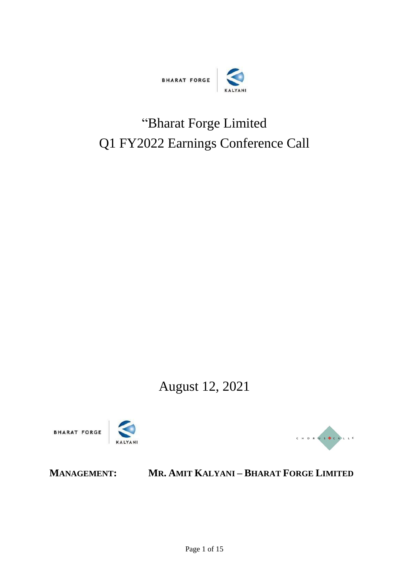

# "Bharat Forge Limited Q1 FY2022 Earnings Conference Call

August 12, 2021





# **MANAGEMENT: MR. AMIT KALYANI – BHARAT FORGE LIMITED**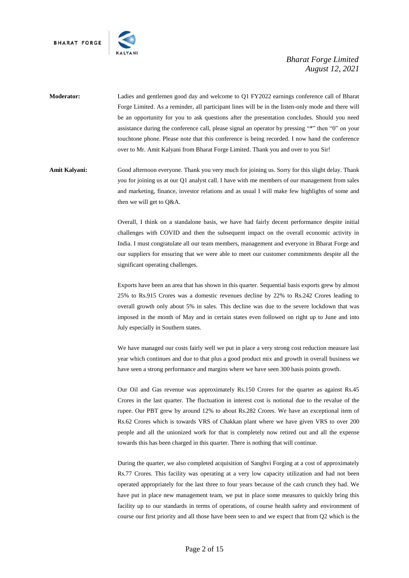

- **Moderator:** Ladies and gentlemen good day and welcome to Q1 FY2022 earnings conference call of Bharat Forge Limited. As a reminder, all participant lines will be in the listen-only mode and there will be an opportunity for you to ask questions after the presentation concludes. Should you need assistance during the conference call, please signal an operator by pressing "\*" then "0" on your touchtone phone. Please note that this conference is being recorded. I now hand the conference over to Mr. Amit Kalyani from Bharat Forge Limited. Thank you and over to you Sir!
- **Amit Kalyani:** Good afternoon everyone. Thank you very much for joining us. Sorry for this slight delay. Thank you for joining us at our Q1 analyst call. I have with me members of our management from sales and marketing, finance, investor relations and as usual I will make few highlights of some and then we will get to Q&A.

Overall, I think on a standalone basis, we have had fairly decent performance despite initial challenges with COVID and then the subsequent impact on the overall economic activity in India. I must congratulate all our team members, management and everyone in Bharat Forge and our suppliers for ensuring that we were able to meet our customer commitments despite all the significant operating challenges.

Exports have been an area that has shown in this quarter. Sequential basis exports grew by almost 25% to Rs.915 Crores was a domestic revenues decline by 22% to Rs.242 Crores leading to overall growth only about 5% in sales. This decline was due to the severe lockdown that was imposed in the month of May and in certain states even followed on right up to June and into July especially in Southern states.

We have managed our costs fairly well we put in place a very strong cost reduction measure last year which continues and due to that plus a good product mix and growth in overall business we have seen a strong performance and margins where we have seen 300 basis points growth.

Our Oil and Gas revenue was approximately Rs.150 Crores for the quarter as against Rs.45 Crores in the last quarter. The fluctuation in interest cost is notional due to the revalue of the rupee. Our PBT grew by around 12% to about Rs.282 Crores. We have an exceptional item of Rs.62 Crores which is towards VRS of Chakkan plant where we have given VRS to over 200 people and all the unionized work for that is completely now retired out and all the expense towards this has been charged in this quarter. There is nothing that will continue.

During the quarter, we also completed acquisition of Sanghvi Forging at a cost of approximately Rs.77 Crores. This facility was operating at a very low capacity utilization and had not been operated appropriately for the last three to four years because of the cash crunch they had. We have put in place new management team, we put in place some measures to quickly bring this facility up to our standards in terms of operations, of course health safety and environment of course our first priority and all those have been seen to and we expect that from Q2 which is the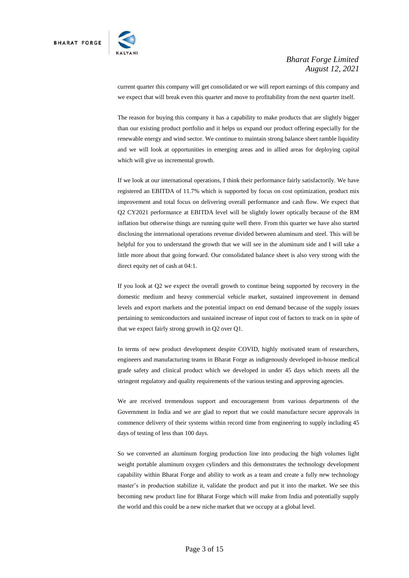

current quarter this company will get consolidated or we will report earnings of this company and we expect that will break even this quarter and move to profitability from the next quarter itself.

The reason for buying this company it has a capability to make products that are slightly bigger than our existing product portfolio and it helps us expand our product offering especially for the renewable energy and wind sector. We continue to maintain strong balance sheet ramble liquidity and we will look at opportunities in emerging areas and in allied areas for deploying capital which will give us incremental growth.

If we look at our international operations, I think their performance fairly satisfactorily. We have registered an EBITDA of 11.7% which is supported by focus on cost optimization, product mix improvement and total focus on delivering overall performance and cash flow. We expect that Q2 CY2021 performance at EBITDA level will be slightly lower optically because of the RM inflation but otherwise things are running quite well there. From this quarter we have also started disclosing the international operations revenue divided between aluminum and steel. This will be helpful for you to understand the growth that we will see in the aluminum side and I will take a little more about that going forward. Our consolidated balance sheet is also very strong with the direct equity net of cash at 04:1.

If you look at Q2 we expect the overall growth to continue being supported by recovery in the domestic medium and heavy commercial vehicle market, sustained improvement in demand levels and export markets and the potential impact on end demand because of the supply issues pertaining to semiconductors and sustained increase of input cost of factors to track on in spite of that we expect fairly strong growth in Q2 over Q1.

In terms of new product development despite COVID, highly motivated team of researchers, engineers and manufacturing teams in Bharat Forge as indigenously developed in-house medical grade safety and clinical product which we developed in under 45 days which meets all the stringent regulatory and quality requirements of the various testing and approving agencies.

We are received tremendous support and encouragement from various departments of the Government in India and we are glad to report that we could manufacture secure approvals in commence delivery of their systems within record time from engineering to supply including 45 days of testing of less than 100 days.

So we converted an aluminum forging production line into producing the high volumes light weight portable aluminum oxygen cylinders and this demonstrates the technology development capability within Bharat Forge and ability to work as a team and create a fully new technology master's in production stabilize it, validate the product and put it into the market. We see this becoming new product line for Bharat Forge which will make from India and potentially supply the world and this could be a new niche market that we occupy at a global level.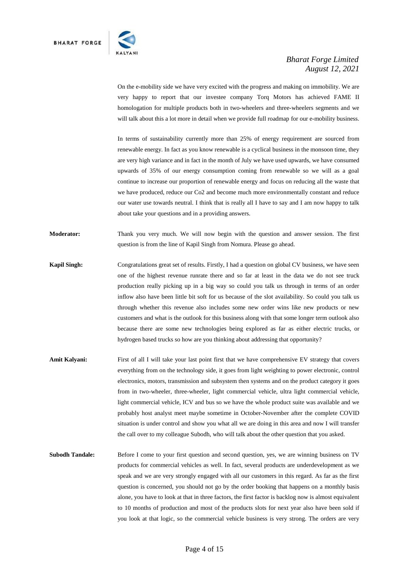

On the e-mobility side we have very excited with the progress and making on immobility. We are very happy to report that our investee company Torq Motors has achieved FAME II homologation for multiple products both in two-wheelers and three-wheelers segments and we will talk about this a lot more in detail when we provide full roadmap for our e-mobility business.

In terms of sustainability currently more than 25% of energy requirement are sourced from renewable energy. In fact as you know renewable is a cyclical business in the monsoon time, they are very high variance and in fact in the month of July we have used upwards, we have consumed upwards of 35% of our energy consumption coming from renewable so we will as a goal continue to increase our proportion of renewable energy and focus on reducing all the waste that we have produced, reduce our Co2 and become much more environmentally constant and reduce our water use towards neutral. I think that is really all I have to say and I am now happy to talk about take your questions and in a providing answers.

**Moderator:** Thank you very much. We will now begin with the question and answer session. The first question is from the line of Kapil Singh from Nomura. Please go ahead.

- **Kapil Singh:** Congratulations great set of results. Firstly, I had a question on global CV business, we have seen one of the highest revenue runrate there and so far at least in the data we do not see truck production really picking up in a big way so could you talk us through in terms of an order inflow also have been little bit soft for us because of the slot availability. So could you talk us through whether this revenue also includes some new order wins like new products or new customers and what is the outlook for this business along with that some longer term outlook also because there are some new technologies being explored as far as either electric trucks, or hydrogen based trucks so how are you thinking about addressing that opportunity?
- Amit Kalyani: First of all I will take your last point first that we have comprehensive EV strategy that covers everything from on the technology side, it goes from light weighting to power electronic, control electronics, motors, transmission and subsystem then systems and on the product category it goes from in two-wheeler, three-wheeler, light commercial vehicle, ultra light commercial vehicle, light commercial vehicle, ICV and bus so we have the whole product suite was available and we probably host analyst meet maybe sometime in October-November after the complete COVID situation is under control and show you what all we are doing in this area and now I will transfer the call over to my colleague Subodh, who will talk about the other question that you asked.
- **Subodh Tandale:** Before I come to your first question and second question, yes, we are winning business on TV products for commercial vehicles as well. In fact, several products are underdevelopment as we speak and we are very strongly engaged with all our customers in this regard. As far as the first question is concerned, you should not go by the order booking that happens on a monthly basis alone, you have to look at that in three factors, the first factor is backlog now is almost equivalent to 10 months of production and most of the products slots for next year also have been sold if you look at that logic, so the commercial vehicle business is very strong. The orders are very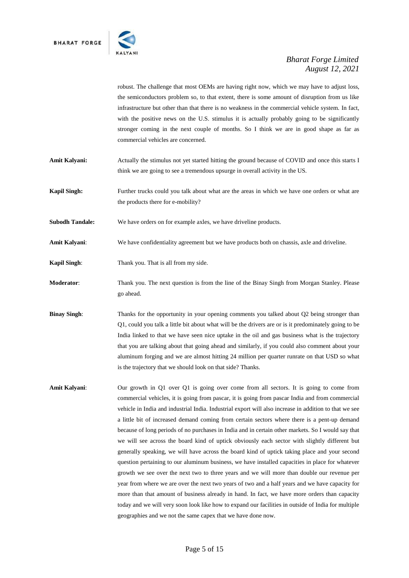

robust. The challenge that most OEMs are having right now, which we may have to adjust loss, the semiconductors problem so, to that extent, there is some amount of disruption from us like infrastructure but other than that there is no weakness in the commercial vehicle system. In fact, with the positive news on the U.S. stimulus it is actually probably going to be significantly stronger coming in the next couple of months. So I think we are in good shape as far as commercial vehicles are concerned.

- **Amit Kalyani:** Actually the stimulus not yet started hitting the ground because of COVID and once this starts I think we are going to see a tremendous upsurge in overall activity in the US.
- **Kapil Singh:** Further trucks could you talk about what are the areas in which we have one orders or what are the products there for e-mobility?

**Subodh Tandale:** We have orders on for example axles, we have driveline products.

- **Amit Kalyani**: We have confidentiality agreement but we have products both on chassis, axle and driveline.
- **Kapil Singh:** Thank you. That is all from my side.
- **Moderator**: Thank you. The next question is from the line of the Binay Singh from Morgan Stanley. Please go ahead.
- **Binay Singh:** Thanks for the opportunity in your opening comments you talked about Q2 being stronger than Q1, could you talk a little bit about what will be the drivers are or is it predominately going to be India linked to that we have seen nice uptake in the oil and gas business what is the trajectory that you are talking about that going ahead and similarly, if you could also comment about your aluminum forging and we are almost hitting 24 million per quarter runrate on that USD so what is the trajectory that we should look on that side? Thanks.
- **Amit Kalyani**: Our growth in Q1 over Q1 is going over come from all sectors. It is going to come from commercial vehicles, it is going from pascar, it is going from pascar India and from commercial vehicle in India and industrial India. Industrial export will also increase in addition to that we see a little bit of increased demand coming from certain sectors where there is a pent-up demand because of long periods of no purchases in India and in certain other markets. So I would say that we will see across the board kind of uptick obviously each sector with slightly different but generally speaking, we will have across the board kind of uptick taking place and your second question pertaining to our aluminum business, we have installed capacities in place for whatever growth we see over the next two to three years and we will more than double our revenue per year from where we are over the next two years of two and a half years and we have capacity for more than that amount of business already in hand. In fact, we have more orders than capacity today and we will very soon look like how to expand our facilities in outside of India for multiple geographies and we not the same capex that we have done now.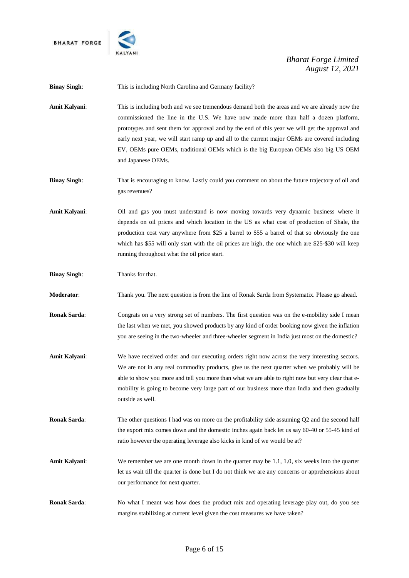**BHARAT FORGE** 



# *Bharat Forge Limited August 12, 2021*

**Binay Singh:** This is including North Carolina and Germany facility?

**Amit Kalyani**: This is including both and we see tremendous demand both the areas and we are already now the commissioned the line in the U.S. We have now made more than half a dozen platform, prototypes and sent them for approval and by the end of this year we will get the approval and early next year, we will start ramp up and all to the current major OEMs are covered including EV, OEMs pure OEMs, traditional OEMs which is the big European OEMs also big US OEM and Japanese OEMs.

**Binay Singh:** That is encouraging to know. Lastly could you comment on about the future trajectory of oil and gas revenues?

**Amit Kalyani**: Oil and gas you must understand is now moving towards very dynamic business where it depends on oil prices and which location in the US as what cost of production of Shale, the production cost vary anywhere from \$25 a barrel to \$55 a barrel of that so obviously the one which has \$55 will only start with the oil prices are high, the one which are \$25-\$30 will keep running throughout what the oil price start.

**Binay Singh:** Thanks for that.

**Moderator**: Thank you. The next question is from the line of Ronak Sarda from Systematix. Please go ahead.

**Ronak Sarda:** Congrats on a very strong set of numbers. The first question was on the e-mobility side I mean the last when we met, you showed products by any kind of order booking now given the inflation you are seeing in the two-wheeler and three-wheeler segment in India just most on the domestic?

- **Amit Kalyani**: We have received order and our executing orders right now across the very interesting sectors. We are not in any real commodity products, give us the next quarter when we probably will be able to show you more and tell you more than what we are able to right now but very clear that emobility is going to become very large part of our business more than India and then gradually outside as well.
- **Ronak Sarda:** The other questions I had was on more on the profitability side assuming Q2 and the second half the export mix comes down and the domestic inches again back let us say 60-40 or 55-45 kind of ratio however the operating leverage also kicks in kind of we would be at?

**Amit Kalyani**: We remember we are one month down in the quarter may be 1.1, 1.0, six weeks into the quarter let us wait till the quarter is done but I do not think we are any concerns or apprehensions about our performance for next quarter.

**Ronak Sarda:** No what I meant was how does the product mix and operating leverage play out, do you see margins stabilizing at current level given the cost measures we have taken?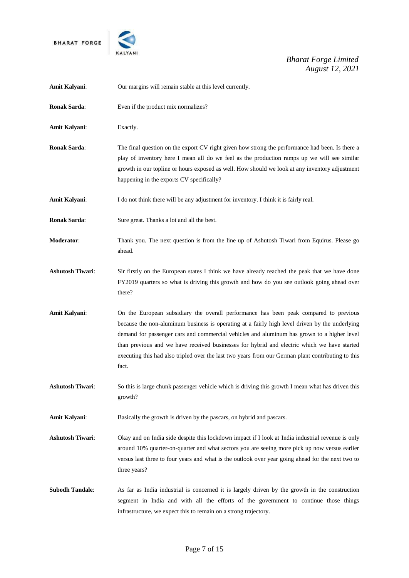



| Amit Kalyani:           | Our margins will remain stable at this level currently.                                                                                                                                                                                                                                                                                                                                                                                                                                             |
|-------------------------|-----------------------------------------------------------------------------------------------------------------------------------------------------------------------------------------------------------------------------------------------------------------------------------------------------------------------------------------------------------------------------------------------------------------------------------------------------------------------------------------------------|
| Ronak Sarda:            | Even if the product mix normalizes?                                                                                                                                                                                                                                                                                                                                                                                                                                                                 |
| Amit Kalyani:           | Exactly.                                                                                                                                                                                                                                                                                                                                                                                                                                                                                            |
| Ronak Sarda:            | The final question on the export CV right given how strong the performance had been. Is there a<br>play of inventory here I mean all do we feel as the production ramps up we will see similar<br>growth in our topline or hours exposed as well. How should we look at any inventory adjustment<br>happening in the exports CV specifically?                                                                                                                                                       |
| Amit Kalyani:           | I do not think there will be any adjustment for inventory. I think it is fairly real.                                                                                                                                                                                                                                                                                                                                                                                                               |
| <b>Ronak Sarda:</b>     | Sure great. Thanks a lot and all the best.                                                                                                                                                                                                                                                                                                                                                                                                                                                          |
| Moderator:              | Thank you. The next question is from the line up of Ashutosh Tiwari from Equirus. Please go<br>ahead.                                                                                                                                                                                                                                                                                                                                                                                               |
| <b>Ashutosh Tiwari:</b> | Sir firstly on the European states I think we have already reached the peak that we have done<br>FY2019 quarters so what is driving this growth and how do you see outlook going ahead over<br>there?                                                                                                                                                                                                                                                                                               |
| Amit Kalyani:           | On the European subsidiary the overall performance has been peak compared to previous<br>because the non-aluminum business is operating at a fairly high level driven by the underlying<br>demand for passenger cars and commercial vehicles and aluminum has grown to a higher level<br>than previous and we have received businesses for hybrid and electric which we have started<br>executing this had also tripled over the last two years from our German plant contributing to this<br>fact. |
| <b>Ashutosh Tiwari:</b> | So this is large chunk passenger vehicle which is driving this growth I mean what has driven this<br>growth?                                                                                                                                                                                                                                                                                                                                                                                        |
| Amit Kalyani:           | Basically the growth is driven by the pascars, on hybrid and pascars.                                                                                                                                                                                                                                                                                                                                                                                                                               |
| <b>Ashutosh Tiwari:</b> | Okay and on India side despite this lockdown impact if I look at India industrial revenue is only<br>around 10% quarter-on-quarter and what sectors you are seeing more pick up now versus earlier<br>versus last three to four years and what is the outlook over year going ahead for the next two to<br>three years?                                                                                                                                                                             |
| <b>Subodh Tandale:</b>  | As far as India industrial is concerned it is largely driven by the growth in the construction<br>segment in India and with all the efforts of the government to continue those things<br>infrastructure, we expect this to remain on a strong trajectory.                                                                                                                                                                                                                                          |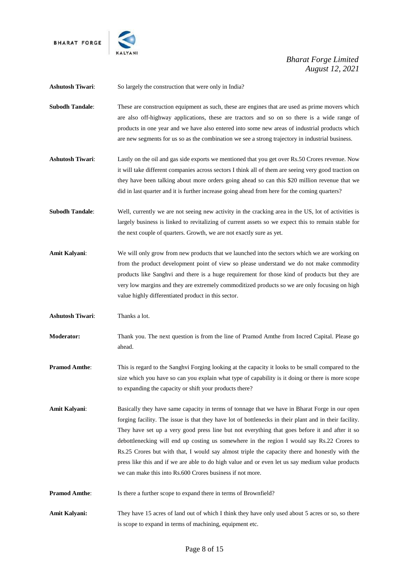



| <b>Ashutosh Tiwari:</b> | So largely the construction that were only in India?                                                                                                                                                                                                                                                                                                                                                                                                                                                                                                                                                                                                                        |
|-------------------------|-----------------------------------------------------------------------------------------------------------------------------------------------------------------------------------------------------------------------------------------------------------------------------------------------------------------------------------------------------------------------------------------------------------------------------------------------------------------------------------------------------------------------------------------------------------------------------------------------------------------------------------------------------------------------------|
| <b>Subodh Tandale:</b>  | These are construction equipment as such, these are engines that are used as prime movers which<br>are also off-highway applications, these are tractors and so on so there is a wide range of<br>products in one year and we have also entered into some new areas of industrial products which<br>are new segments for us so as the combination we see a strong trajectory in industrial business.                                                                                                                                                                                                                                                                        |
| <b>Ashutosh Tiwari:</b> | Lastly on the oil and gas side exports we mentioned that you get over Rs.50 Crores revenue. Now<br>it will take different companies across sectors I think all of them are seeing very good traction on<br>they have been talking about more orders going ahead so can this \$20 million revenue that we<br>did in last quarter and it is further increase going ahead from here for the coming quarters?                                                                                                                                                                                                                                                                   |
| <b>Subodh Tandale:</b>  | Well, currently we are not seeing new activity in the cracking area in the US, lot of activities is<br>largely business is linked to revitalizing of current assets so we expect this to remain stable for<br>the next couple of quarters. Growth, we are not exactly sure as yet.                                                                                                                                                                                                                                                                                                                                                                                          |
| Amit Kalyani:           | We will only grow from new products that we launched into the sectors which we are working on<br>from the product development point of view so please understand we do not make commodity<br>products like Sanghvi and there is a huge requirement for those kind of products but they are<br>very low margins and they are extremely commoditized products so we are only focusing on high<br>value highly differentiated product in this sector.                                                                                                                                                                                                                          |
| <b>Ashutosh Tiwari:</b> | Thanks a lot.                                                                                                                                                                                                                                                                                                                                                                                                                                                                                                                                                                                                                                                               |
| <b>Moderator:</b>       | Thank you. The next question is from the line of Pramod Amthe from Incred Capital. Please go<br>ahead.                                                                                                                                                                                                                                                                                                                                                                                                                                                                                                                                                                      |
| <b>Pramod Amthe:</b>    | This is regard to the Sanghvi Forging looking at the capacity it looks to be small compared to the<br>size which you have so can you explain what type of capability is it doing or there is more scope<br>to expanding the capacity or shift your products there?                                                                                                                                                                                                                                                                                                                                                                                                          |
| Amit Kalyani:           | Basically they have same capacity in terms of tonnage that we have in Bharat Forge in our open<br>forging facility. The issue is that they have lot of bottlenecks in their plant and in their facility.<br>They have set up a very good press line but not everything that goes before it and after it so<br>debottlenecking will end up costing us somewhere in the region I would say Rs.22 Crores to<br>Rs.25 Crores but with that, I would say almost triple the capacity there and honestly with the<br>press like this and if we are able to do high value and or even let us say medium value products<br>we can make this into Rs.600 Crores business if not more. |
| <b>Pramod Amthe:</b>    | Is there a further scope to expand there in terms of Brownfield?                                                                                                                                                                                                                                                                                                                                                                                                                                                                                                                                                                                                            |
| Amit Kalyani:           | They have 15 acres of land out of which I think they have only used about 5 acres or so, so there<br>is scope to expand in terms of machining, equipment etc.                                                                                                                                                                                                                                                                                                                                                                                                                                                                                                               |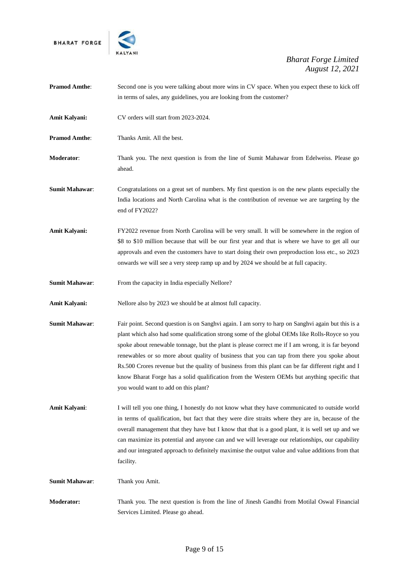

| <b>Pramod Amthe:</b>  | Second one is you were talking about more wins in CV space. When you expect these to kick off<br>in terms of sales, any guidelines, you are looking from the customer?                                                                                                                                                                                                                                                                                                                                                                                                                                                                                 |
|-----------------------|--------------------------------------------------------------------------------------------------------------------------------------------------------------------------------------------------------------------------------------------------------------------------------------------------------------------------------------------------------------------------------------------------------------------------------------------------------------------------------------------------------------------------------------------------------------------------------------------------------------------------------------------------------|
| Amit Kalyani:         | CV orders will start from 2023-2024.                                                                                                                                                                                                                                                                                                                                                                                                                                                                                                                                                                                                                   |
| <b>Pramod Amthe:</b>  | Thanks Amit. All the best.                                                                                                                                                                                                                                                                                                                                                                                                                                                                                                                                                                                                                             |
| Moderator:            | Thank you. The next question is from the line of Sumit Mahawar from Edelweiss. Please go<br>ahead.                                                                                                                                                                                                                                                                                                                                                                                                                                                                                                                                                     |
| <b>Sumit Mahawar:</b> | Congratulations on a great set of numbers. My first question is on the new plants especially the<br>India locations and North Carolina what is the contribution of revenue we are targeting by the<br>end of FY2022?                                                                                                                                                                                                                                                                                                                                                                                                                                   |
| Amit Kalyani:         | FY2022 revenue from North Carolina will be very small. It will be somewhere in the region of<br>\$8 to \$10 million because that will be our first year and that is where we have to get all our<br>approvals and even the customers have to start doing their own preproduction loss etc., so 2023<br>onwards we will see a very steep ramp up and by 2024 we should be at full capacity.                                                                                                                                                                                                                                                             |
| <b>Sumit Mahawar:</b> | From the capacity in India especially Nellore?                                                                                                                                                                                                                                                                                                                                                                                                                                                                                                                                                                                                         |
| Amit Kalyani:         | Nellore also by 2023 we should be at almost full capacity.                                                                                                                                                                                                                                                                                                                                                                                                                                                                                                                                                                                             |
| <b>Sumit Mahawar:</b> | Fair point. Second question is on Sanghvi again. I am sorry to harp on Sanghvi again but this is a<br>plant which also had some qualification strong some of the global OEMs like Rolls-Royce so you<br>spoke about renewable tonnage, but the plant is please correct me if I am wrong, it is far beyond<br>renewables or so more about quality of business that you can tap from there you spoke about<br>Rs.500 Crores revenue but the quality of business from this plant can be far different right and I<br>know Bharat Forge has a solid qualification from the Western OEMs but anything specific that<br>you would want to add on this plant? |
| Amit Kalyani:         | I will tell you one thing, I honestly do not know what they have communicated to outside world<br>in terms of qualification, but fact that they were dire straits where they are in, because of the<br>overall management that they have but I know that that is a good plant, it is well set up and we<br>can maximize its potential and anyone can and we will leverage our relationships, our capability<br>and our integrated approach to definitely maximise the output value and value additions from that<br>facility.                                                                                                                          |
| <b>Sumit Mahawar:</b> | Thank you Amit.                                                                                                                                                                                                                                                                                                                                                                                                                                                                                                                                                                                                                                        |
| <b>Moderator:</b>     | Thank you. The next question is from the line of Jinesh Gandhi from Motilal Oswal Financial<br>Services Limited. Please go ahead.                                                                                                                                                                                                                                                                                                                                                                                                                                                                                                                      |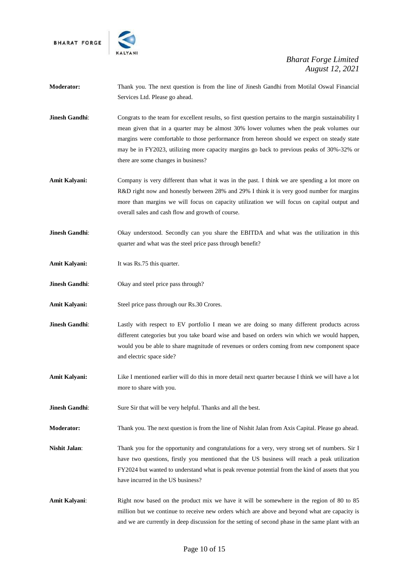**BHARAT FORGE** 



- **Moderator:** Thank you. The next question is from the line of Jinesh Gandhi from Motilal Oswal Financial Services Ltd. Please go ahead.
- **Jinesh Gandhi:** Congrats to the team for excellent results, so first question pertains to the margin sustainability I mean given that in a quarter may be almost 30% lower volumes when the peak volumes our margins were comfortable to those performance from hereon should we expect on steady state may be in FY2023, utilizing more capacity margins go back to previous peaks of 30%-32% or there are some changes in business?
- **Amit Kalyani:** Company is very different than what it was in the past. I think we are spending a lot more on R&D right now and honestly between 28% and 29% I think it is very good number for margins more than margins we will focus on capacity utilization we will focus on capital output and overall sales and cash flow and growth of course.
- **Jinesh Gandhi**: Okay understood. Secondly can you share the EBITDA and what was the utilization in this quarter and what was the steel price pass through benefit?
- **Amit Kalyani:** It was Rs.75 this quarter.
- **Jinesh Gandhi:** Okay and steel price pass through?
- **Amit Kalyani:** Steel price pass through our Rs.30 Crores.
- **Jinesh Gandhi:** Lastly with respect to EV portfolio I mean we are doing so many different products across different categories but you take board wise and based on orders win which we would happen, would you be able to share magnitude of revenues or orders coming from new component space and electric space side?
- **Amit Kalyani:** Like I mentioned earlier will do this in more detail next quarter because I think we will have a lot more to share with you.
- **Jinesh Gandhi:** Sure Sir that will be very helpful. Thanks and all the best.
- **Moderator:** Thank you. The next question is from the line of Nishit Jalan from Axis Capital. Please go ahead.
- **Nishit Jalan:** Thank you for the opportunity and congratulations for a very, very strong set of numbers. Sir I have two questions, firstly you mentioned that the US business will reach a peak utilization FY2024 but wanted to understand what is peak revenue potential from the kind of assets that you have incurred in the US business?
- Amit Kalyani: Right now based on the product mix we have it will be somewhere in the region of 80 to 85 million but we continue to receive new orders which are above and beyond what are capacity is and we are currently in deep discussion for the setting of second phase in the same plant with an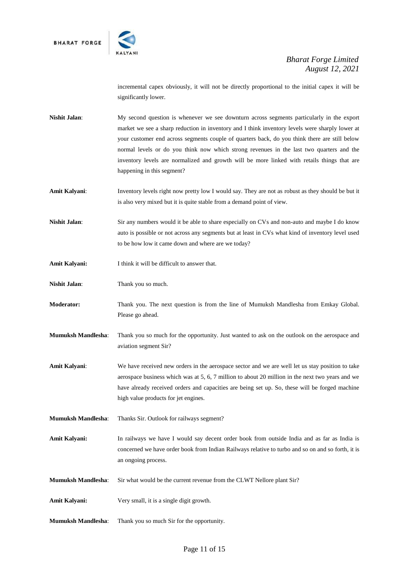

incremental capex obviously, it will not be directly proportional to the initial capex it will be significantly lower.

- **Nishit Jalan**: My second question is whenever we see downturn across segments particularly in the export market we see a sharp reduction in inventory and I think inventory levels were sharply lower at your customer end across segments couple of quarters back, do you think there are still below normal levels or do you think now which strong revenues in the last two quarters and the inventory levels are normalized and growth will be more linked with retails things that are happening in this segment?
- **Amit Kalyani**: Inventory levels right now pretty low I would say. They are not as robust as they should be but it is also very mixed but it is quite stable from a demand point of view.
- **Nishit Jalan:** Sir any numbers would it be able to share especially on CVs and non-auto and maybe I do know auto is possible or not across any segments but at least in CVs what kind of inventory level used to be how low it came down and where are we today?
- Amit Kalyani: I think it will be difficult to answer that.
- **Nishit Jalan**: Thank you so much.
- **Moderator:** Thank you. The next question is from the line of Mumuksh Mandlesha from Emkay Global. Please go ahead.
- **Mumuksh Mandlesha**: Thank you so much for the opportunity. Just wanted to ask on the outlook on the aerospace and aviation segment Sir?
- **Amit Kalyani**: We have received new orders in the aerospace sector and we are well let us stay position to take aerospace business which was at 5, 6, 7 million to about 20 million in the next two years and we have already received orders and capacities are being set up. So, these will be forged machine high value products for jet engines.
- **Mumuksh Mandlesha**: Thanks Sir. Outlook for railways segment?
- **Amit Kalyani:** In railways we have I would say decent order book from outside India and as far as India is concerned we have order book from Indian Railways relative to turbo and so on and so forth, it is an ongoing process.
- **Mumuksh Mandlesha**: Sir what would be the current revenue from the CLWT Nellore plant Sir?
- **Amit Kalyani:** Very small, it is a single digit growth.
- **Mumuksh Mandlesha**: Thank you so much Sir for the opportunity.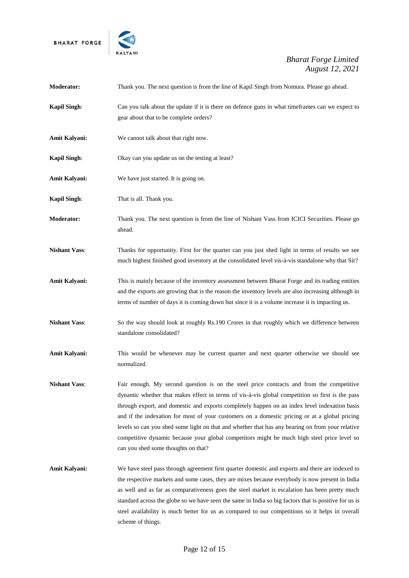



| Moderator:           | Thank you. The next question is from the line of Kapil Singh from Nomura. Please go ahead.                                                                                                                                                                                                                                                                                                                                                                                                                                                                                                                                              |
|----------------------|-----------------------------------------------------------------------------------------------------------------------------------------------------------------------------------------------------------------------------------------------------------------------------------------------------------------------------------------------------------------------------------------------------------------------------------------------------------------------------------------------------------------------------------------------------------------------------------------------------------------------------------------|
| <b>Kapil Singh:</b>  | Can you talk about the update if it is there on defence guns in what timeframes can we expect to<br>gear about that to be complete orders?                                                                                                                                                                                                                                                                                                                                                                                                                                                                                              |
| Amit Kalyani:        | We cannot talk about that right now.                                                                                                                                                                                                                                                                                                                                                                                                                                                                                                                                                                                                    |
| <b>Kapil Singh:</b>  | Okay can you update us on the testing at least?                                                                                                                                                                                                                                                                                                                                                                                                                                                                                                                                                                                         |
| Amit Kalyani:        | We have just started. It is going on.                                                                                                                                                                                                                                                                                                                                                                                                                                                                                                                                                                                                   |
| <b>Kapil Singh:</b>  | That is all. Thank you.                                                                                                                                                                                                                                                                                                                                                                                                                                                                                                                                                                                                                 |
| Moderator:           | Thank you. The next question is from the line of Nishant Vass from ICICI Securities. Please go<br>ahead.                                                                                                                                                                                                                                                                                                                                                                                                                                                                                                                                |
| <b>Nishant Vass:</b> | Thanks for opportunity. First for the quarter can you just shed light in terms of results we see<br>much highest finished good inventory at the consolidated level vis-à-vis standalone why that Sir?                                                                                                                                                                                                                                                                                                                                                                                                                                   |
| Amit Kalyani:        | This is mainly because of the inventory assessment between Bharat Forge and its trading entities<br>and the exports are growing that is the reason the inventory levels are also increasing although in<br>terms of number of days it is coming down but since it is a volume increase it is impacting us.                                                                                                                                                                                                                                                                                                                              |
| <b>Nishant Vass:</b> | So the way should look at roughly Rs.190 Crores in that roughly which we difference between<br>standalone consolidated?                                                                                                                                                                                                                                                                                                                                                                                                                                                                                                                 |
| Amit Kalyani:        | This would be whenever may be current quarter and next quarter otherwise we should see<br>normalized.                                                                                                                                                                                                                                                                                                                                                                                                                                                                                                                                   |
| <b>Nishant Vass:</b> | Fair enough. My second question is on the steel price contracts and from the competitive<br>dynamic whether that makes effect in terms of vis-à-vis global competition so first is the pass<br>through export, and domestic and exports completely happen on an index level indexation basis<br>and if the indexation for most of your customers on a domestic pricing or at a global pricing<br>levels so can you shed some light on that and whether that has any bearing on from your relative<br>competitive dynamic because your global competitors might be much high steel price level so<br>can you shed some thoughts on that? |
| Amit Kalyani:        | We have steel pass through agreement first quarter domestic and exports and there are indexed to<br>the respective markets and some cases, they are mixes because everybody is now present in India<br>as well and as far as comparativeness goes the steel market is escalation has been pretty much<br>standard across the globe so we have seen the same in India so big factors that is positive for us is<br>steel availability is much better for us as compared to our competitions so it helps in overall<br>scheme of things.                                                                                                  |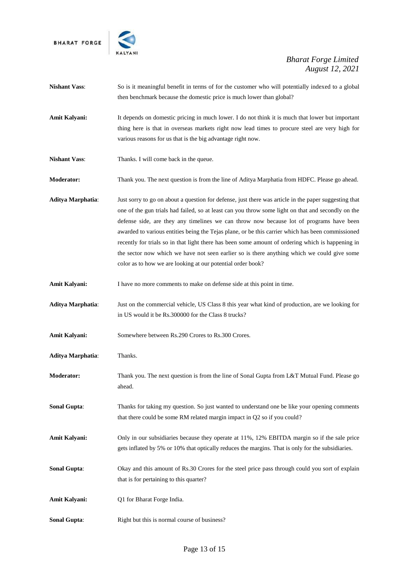



| <b>Nishant Vass:</b>     | So is it meaningful benefit in terms of for the customer who will potentially indexed to a global<br>then benchmark because the domestic price is much lower than global?                                                                                                                                                                                                                                                                                                                                                                                                                                                                                                      |
|--------------------------|--------------------------------------------------------------------------------------------------------------------------------------------------------------------------------------------------------------------------------------------------------------------------------------------------------------------------------------------------------------------------------------------------------------------------------------------------------------------------------------------------------------------------------------------------------------------------------------------------------------------------------------------------------------------------------|
| Amit Kalyani:            | It depends on domestic pricing in much lower. I do not think it is much that lower but important<br>thing here is that in overseas markets right now lead times to procure steel are very high for<br>various reasons for us that is the big advantage right now.                                                                                                                                                                                                                                                                                                                                                                                                              |
| <b>Nishant Vass:</b>     | Thanks. I will come back in the queue.                                                                                                                                                                                                                                                                                                                                                                                                                                                                                                                                                                                                                                         |
| Moderator:               | Thank you. The next question is from the line of Aditya Marphatia from HDFC. Please go ahead.                                                                                                                                                                                                                                                                                                                                                                                                                                                                                                                                                                                  |
| Aditya Marphatia:        | Just sorry to go on about a question for defense, just there was article in the paper suggesting that<br>one of the gun trials had failed, so at least can you throw some light on that and secondly on the<br>defense side, are they any timelines we can throw now because lot of programs have been<br>awarded to various entities being the Tejas plane, or be this carrier which has been commissioned<br>recently for trials so in that light there has been some amount of ordering which is happening in<br>the sector now which we have not seen earlier so is there anything which we could give some<br>color as to how we are looking at our potential order book? |
| <b>Amit Kalyani:</b>     | I have no more comments to make on defense side at this point in time.                                                                                                                                                                                                                                                                                                                                                                                                                                                                                                                                                                                                         |
| <b>Aditya Marphatia:</b> | Just on the commercial vehicle, US Class 8 this year what kind of production, are we looking for<br>in US would it be Rs.300000 for the Class 8 trucks?                                                                                                                                                                                                                                                                                                                                                                                                                                                                                                                        |
| <b>Amit Kalyani:</b>     | Somewhere between Rs.290 Crores to Rs.300 Crores.                                                                                                                                                                                                                                                                                                                                                                                                                                                                                                                                                                                                                              |
| <b>Aditya Marphatia:</b> | Thanks.                                                                                                                                                                                                                                                                                                                                                                                                                                                                                                                                                                                                                                                                        |
| <b>Moderator:</b>        | Thank you. The next question is from the line of Sonal Gupta from L&T Mutual Fund. Please go<br>ahead.                                                                                                                                                                                                                                                                                                                                                                                                                                                                                                                                                                         |
| <b>Sonal Gupta:</b>      | Thanks for taking my question. So just wanted to understand one be like your opening comments<br>that there could be some RM related margin impact in Q2 so if you could?                                                                                                                                                                                                                                                                                                                                                                                                                                                                                                      |
| Amit Kalyani:            | Only in our subsidiaries because they operate at 11%, 12% EBITDA margin so if the sale price<br>gets inflated by 5% or 10% that optically reduces the margins. That is only for the subsidiaries.                                                                                                                                                                                                                                                                                                                                                                                                                                                                              |
| <b>Sonal Gupta:</b>      | Okay and this amount of Rs.30 Crores for the steel price pass through could you sort of explain<br>that is for pertaining to this quarter?                                                                                                                                                                                                                                                                                                                                                                                                                                                                                                                                     |
| Amit Kalyani:            | Q1 for Bharat Forge India.                                                                                                                                                                                                                                                                                                                                                                                                                                                                                                                                                                                                                                                     |
| <b>Sonal Gupta:</b>      | Right but this is normal course of business?                                                                                                                                                                                                                                                                                                                                                                                                                                                                                                                                                                                                                                   |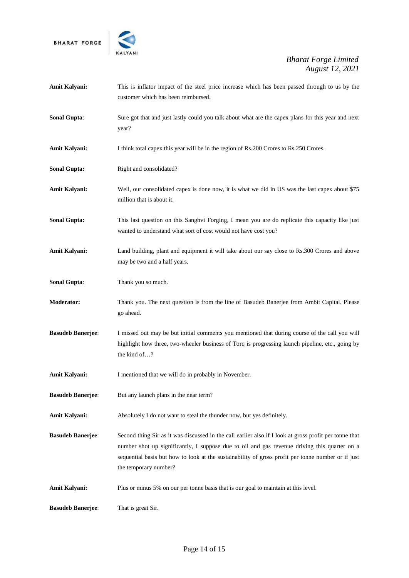



| Amit Kalyani:            | This is inflator impact of the steel price increase which has been passed through to us by the<br>customer which has been reimbursed.                                                                                                                                                                                                 |
|--------------------------|---------------------------------------------------------------------------------------------------------------------------------------------------------------------------------------------------------------------------------------------------------------------------------------------------------------------------------------|
| <b>Sonal Gupta:</b>      | Sure got that and just lastly could you talk about what are the capex plans for this year and next<br>year?                                                                                                                                                                                                                           |
| <b>Amit Kalyani:</b>     | I think total capex this year will be in the region of Rs.200 Crores to Rs.250 Crores.                                                                                                                                                                                                                                                |
| <b>Sonal Gupta:</b>      | Right and consolidated?                                                                                                                                                                                                                                                                                                               |
| <b>Amit Kalyani:</b>     | Well, our consolidated capex is done now, it is what we did in US was the last capex about \$75<br>million that is about it.                                                                                                                                                                                                          |
| <b>Sonal Gupta:</b>      | This last question on this Sanghvi Forging, I mean you are do replicate this capacity like just<br>wanted to understand what sort of cost would not have cost you?                                                                                                                                                                    |
| Amit Kalyani:            | Land building, plant and equipment it will take about our say close to Rs.300 Crores and above<br>may be two and a half years.                                                                                                                                                                                                        |
| <b>Sonal Gupta:</b>      | Thank you so much.                                                                                                                                                                                                                                                                                                                    |
| <b>Moderator:</b>        | Thank you. The next question is from the line of Basudeb Banerjee from Ambit Capital. Please<br>go ahead.                                                                                                                                                                                                                             |
| <b>Basudeb Banerjee:</b> | I missed out may be but initial comments you mentioned that during course of the call you will<br>highlight how three, two-wheeler business of Torq is progressing launch pipeline, etc., going by<br>the kind of?                                                                                                                    |
| <b>Amit Kalyani:</b>     | I mentioned that we will do in probably in November.                                                                                                                                                                                                                                                                                  |
| <b>Basudeb Banerjee:</b> | But any launch plans in the near term?                                                                                                                                                                                                                                                                                                |
| <b>Amit Kalyani:</b>     | Absolutely I do not want to steal the thunder now, but yes definitely.                                                                                                                                                                                                                                                                |
| <b>Basudeb Banerjee:</b> | Second thing Sir as it was discussed in the call earlier also if I look at gross profit per tonne that<br>number shot up significantly, I suppose due to oil and gas revenue driving this quarter on a<br>sequential basis but how to look at the sustainability of gross profit per tonne number or if just<br>the temporary number? |
| Amit Kalyani:            | Plus or minus 5% on our per tonne basis that is our goal to maintain at this level.                                                                                                                                                                                                                                                   |
| <b>Basudeb Banerjee:</b> | That is great Sir.                                                                                                                                                                                                                                                                                                                    |